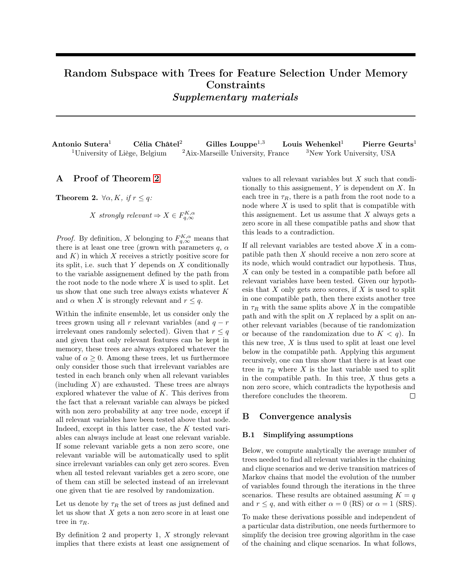# <span id="page-0-2"></span>Random Subspace with Trees for Feature Selection Under Memory **Constraints** Supplementary materials

| Antonio Sutera <sup>1</sup>               | Célia Châtel <sup>2</sup> | Gilles Louppe <sup><math>1,3</math></sup>     | Louis Wehenkel <sup>1</sup>           | Pierre Geurts <sup>1</sup> |
|-------------------------------------------|---------------------------|-----------------------------------------------|---------------------------------------|----------------------------|
| <sup>1</sup> University of Liège, Belgium |                           | <sup>2</sup> Aix-Marseille University, France | <sup>3</sup> New York University, USA |                            |

## A Proof of Theorem [2](#page-0-0)

<span id="page-0-0"></span>**Theorem 2.**  $\forall \alpha, K, \text{ if } r \leq q$ :

X strongly relevant  $\Rightarrow X \in F_{q,\infty}^{K,\alpha}$ 

*Proof.* By definition, X belonging to  $F_{q,\infty}^{K,\alpha}$  means that there is at least one tree (grown with parameters  $q$ ,  $\alpha$ and  $K$ ) in which X receives a strictly positive score for its split, i.e. such that Y depends on X conditionally to the variable assignement defined by the path from the root node to the node where  $X$  is used to split. Let us show that one such tree always exists whatever  $K$ and  $\alpha$  when X is strongly relevant and  $r \leq q$ .

Within the infinite ensemble, let us consider only the trees grown using all r relevant variables (and  $q - r$ ) irrelevant ones randomly selected). Given that  $r \leq q$ and given that only relevant features can be kept in memory, these trees are always explored whatever the value of  $\alpha \geq 0$ . Among these trees, let us furthermore only consider those such that irrelevant variables are tested in each branch only when all relevant variables (including  $X$ ) are exhausted. These trees are always explored whatever the value of  $K$ . This derives from the fact that a relevant variable can always be picked with non zero probability at any tree node, except if all relevant variables have been tested above that node. Indeed, except in this latter case, the K tested variables can always include at least one relevant variable. If some relevant variable gets a non zero score, one relevant variable will be automatically used to split since irrelevant variables can only get zero scores. Even when all tested relevant variables get a zero score, one of them can still be selected instead of an irrelevant one given that tie are resolved by randomization.

Let us denote by  $\tau_R$  the set of trees as just defined and let us show that  $X$  gets a non zero score in at least one tree in  $\tau_R$ .

By definition 2 and property 1,  $X$  strongly relevant implies that there exists at least one assignement of values to all relevant variables but X such that conditionally to this assignement,  $Y$  is dependent on  $X$ . In each tree in  $\tau_R$ , there is a path from the root node to a node where  $X$  is used to split that is compatible with this assignement. Let us assume that  $X$  always gets a zero score in all these compatible paths and show that this leads to a contradiction.

If all relevant variables are tested above X in a compatible path then X should receive a non zero score at its node, which would contradict our hypothesis. Thus,  $X$  can only be tested in a compatible path before all relevant variables have been tested. Given our hypothesis that  $X$  only gets zero scores, if  $X$  is used to split in one compatible path, then there exists another tree in  $\tau_R$  with the same splits above X in the compatible path and with the split on  $X$  replaced by a split on another relevant variables (because of tie randomization or because of the randomization due to  $K < q$ ). In this new tree,  $X$  is thus used to split at least one level below in the compatible path. Applying this argument recursively, one can thus show that there is at least one tree in  $\tau_R$  where X is the last variable used to split in the compatible path. In this tree,  $X$  thus gets a non zero score, which contradicts the hypothesis and therefore concludes the theorem.  $\Box$ 

## B Convergence analysis

### <span id="page-0-1"></span>B.1 Simplifying assumptions

Below, we compute analytically the average number of trees needed to find all relevant variables in the chaining and clique scenarios and we derive transition matrices of Markov chains that model the evolution of the number of variables found through the iterations in the three scenarios. These results are obtained assuming  $K = q$ and  $r \leq q$ , and with either  $\alpha = 0$  (RS) or  $\alpha = 1$  (SRS).

To make these derivations possible and independent of a particular data distribution, one needs furthermore to simplify the decision tree growing algorithm in the case of the chaining and clique scenarios. In what follows,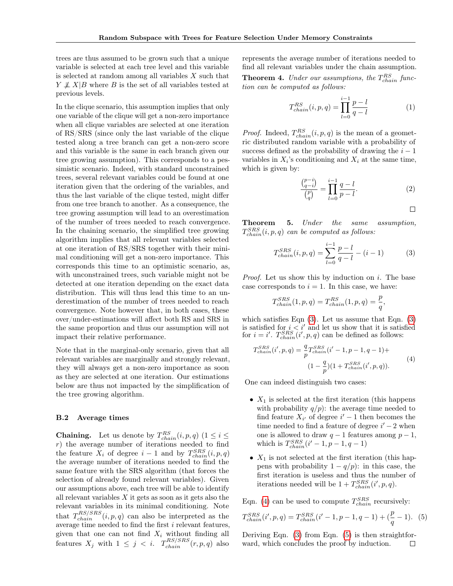trees are thus assumed to be grown such that a unique variable is selected at each tree level and this variable is selected at random among all variables X such that  $Y \not\perp X|B$  where B is the set of all variables tested at previous levels.

In the clique scenario, this assumption implies that only one variable of the clique will get a non-zero importance when all clique variables are selected at one iteration of RS/SRS (since only the last variable of the clique tested along a tree branch can get a non-zero score and this variable is the same in each branch given our tree growing assumption). This corresponds to a pessimistic scenario. Indeed, with standard unconstrained trees, several relevant variables could be found at one iteration given that the ordering of the variables, and thus the last variable of the clique tested, might differ from one tree branch to another. As a consequence, the tree growing assumption will lead to an overestimation of the number of trees needed to reach convergence. In the chaining scenario, the simplified tree growing algorithm implies that all relevant variables selected at one iteration of RS/SRS together with their minimal conditioning will get a non-zero importance. This corresponds this time to an optimistic scenario, as, with unconstrained trees, such variable might not be detected at one iteration depending on the exact data distribution. This will thus lead this time to an underestimation of the number of trees needed to reach convergence. Note however that, in both cases, these over/under-estimations will affect both RS and SRS in the same proportion and thus our assumption will not impact their relative performance.

Note that in the marginal-only scenario, given that all relevant variables are marginally and strongly relevant, they will always get a non-zero importance as soon as they are selected at one iteration. Our estimations below are thus not impacted by the simplification of the tree growing algorithm.

#### B.2 Average times

**Chaining.** Let us denote by  $T_{chain}^{RS}(i, p, q)$   $(1 \le i \le n)$ r) the average number of iterations needed to find the feature  $X_i$  of degree  $i-1$  and by  $T_{chain}^{SRS}(i, p, q)$ the average number of iterations needed to find the same feature with the SRS algorithm (that forces the selection of already found relevant variables). Given our assumptions above, each tree will be able to identify all relevant variables  $X$  it gets as soon as it gets also the relevant variables in its minimal conditioning. Note that  $T_{chain}^{RS/SRS}(i, p, q)$  can also be interpreted as the average time needed to find the first  $i$  relevant features, given that one can not find  $X_i$  without finding all features  $X_j$  with  $1 \leq j \leq i$ .  $T_{chain}^{RS/SRS}(r, p, q)$  also

represents the average number of iterations needed to find all relevant variables under the chain assumption.

**Theorem 4.** Under our assumptions, the  $T_{chain}^{RS}$  function can be computed as follows:

$$
T_{chain}^{RS}(i, p, q) = \prod_{l=0}^{i-1} \frac{p-l}{q-l}
$$
 (1)

*Proof.* Indeed,  $T_{chain}^{RS}(i, p, q)$  is the mean of a geometric distributed random variable with a probability of success defined as the probability of drawing the  $i - 1$ variables in  $X_i$ 's conditioning and  $X_i$  at the same time, which is given by:

$$
\frac{\binom{p-i}{q-i}}{\binom{p}{q}} = \prod_{l=0}^{i-1} \frac{q-l}{p-l}.\tag{2}
$$

<span id="page-1-0"></span>
$$
\qquad \qquad \Box
$$

,

Theorem 5. Under the same assumption,  $T_{chain}^{SRS}(i, p, q)$  can be computed as follows:

$$
T_{chain}^{SRS}(i, p, q) = \sum_{l=0}^{i-1} \frac{p-l}{q-l} - (i-1)
$$
 (3)

Proof. Let us show this by induction on i. The base case corresponds to  $i = 1$ . In this case, we have:

$$
T_{chain}^{SRS}(1, p, q) = T_{chain}^{RS}(1, p, q) = \frac{p}{q}
$$

which satisfies Eqn  $(3)$ . Let us assume that Eqn.  $(3)$ is satisfied for  $i < i'$  and let us show that it is satisfied for  $i = i'$ .  $T_{chain}^{SRS}(i', p, q)$  can be defined as follows:

<span id="page-1-1"></span>
$$
T_{chain}^{SRS}(i', p, q) = \frac{q}{p} T_{chain}^{SRS}(i'-1, p-1, q-1) +
$$

$$
(1 - \frac{q}{p})(1 + T_{chain}^{SRS}(i', p, q)).
$$
 (4)

One can indeed distinguish two cases:

- $X_1$  is selected at the first iteration (this happens with probability  $q/p$ : the average time needed to find feature  $X_{i'}$  of degree  $i'-1$  then becomes the time needed to find a feature of degree  $i'-2$  when one is allowed to draw  $q-1$  features among  $p-1$ , which is  $T_{chain}^{SRS}(i'-1, p-1, q-1)$
- $X_1$  is not selected at the first iteration (this happens with probability  $1 - q/p$ : in this case, the first iteration is useless and thus the number of iterations needed will be  $1 + T_{chain}^{SRS}(i', p, q)$ .

Eqn. [\(4\)](#page-1-1) can be used to compute  $T_{chain}^{SRS}$  recursively:

<span id="page-1-2"></span>
$$
T_{chain}^{SRS}(i', p, q) = T_{chain}^{SRS}(i'-1, p-1, q-1) + (\frac{p}{q}-1). (5)
$$

Deriving Eqn. [\(3\)](#page-1-0) from Eqn. [\(5\)](#page-1-2) is then straightforward, which concludes the proof by induction. $\Box$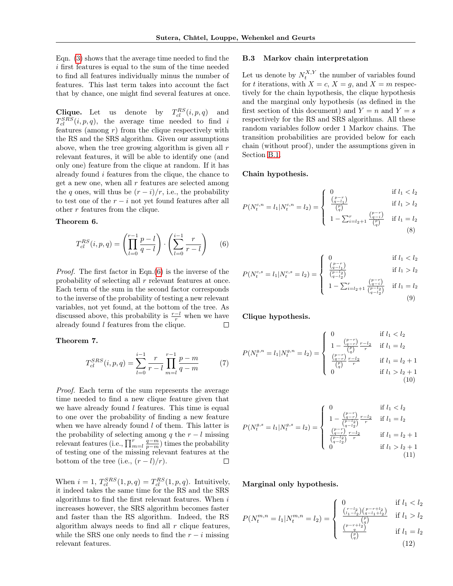Eqn. [\(3\)](#page-1-0) shows that the average time needed to find the i first features is equal to the sum of the time needed to find all features individually minus the number of features. This last term takes into account the fact that by chance, one might find several features at once.

**Clique.** Let us denote by  $T_{cl}^{RS}(i, p, q)$  and  $T_{cl}^{SRS}(i, p, q)$ , the average time needed to find i features (among  $r$ ) from the clique respectively with the RS and the SRS algorithm. Given our assumptions above, when the tree growing algorithm is given all r relevant features, it will be able to identify one (and only one) feature from the clique at random. If it has already found  $i$  features from the clique, the chance to get a new one, when all  $r$  features are selected among the q ones, will thus be  $(r - i)/r$ , i.e., the probability to test one of the  $r - i$  not yet found features after all other r features from the clique.

#### <span id="page-2-0"></span>Theorem 6.

$$
T_{cl}^{RS}(i, p, q) = \left(\prod_{l=0}^{r-1} \frac{p-l}{q-l}\right) \cdot \left(\sum_{l=0}^{i-1} \frac{r}{r-l}\right) \tag{6}
$$

Proof. The first factor in Eqn.[\(6\)](#page-2-0) is the inverse of the probability of selecting all r relevant features at once. Each term of the sum in the second factor corresponds to the inverse of the probability of testing a new relevant variables, not yet found, at the bottom of the tree. As discussed above, this probability is  $\frac{r-l}{r}$  when we have already found  $l$  features from the clique.

Theorem 7.

$$
T_{cl}^{SRS}(i, p, q) = \sum_{l=0}^{i-1} \frac{r}{r-l} \prod_{m=l}^{r-1} \frac{p-m}{q-m}
$$
(7)

Proof. Each term of the sum represents the average time needed to find a new clique feature given that we have already found  $l$  features. This time is equal to one over the probability of finding a new feature when we have already found  $l$  of them. This latter is the probability of selecting among q the  $r - l$  missing relevant features (i.e.,  $\prod_{m=1}^{r} \frac{q-m}{p-m}$ ) times the probability of testing one of the missing relevant features at the bottom of the tree (i.e.,  $(r - l)/r$ ).

When  $i = 1$ ,  $T_{cl}^{SRS}(1, p, q) = T_{cl}^{RS}(1, p, q)$ . Intuitively, it indeed takes the same time for the RS and the SRS algorithms to find the first relevant features. When  $i$ increases however, the SRS algorithm becomes faster and faster than the RS algorithm. Indeed, the RS algorithm always needs to find all  $r$  clique features, while the SRS one only needs to find the  $r - i$  missing relevant features.

### B.3 Markov chain interpretation

Let us denote by  $N_t^{X,Y}$  the number of variables found for t iterations, with  $X = c$ ,  $X = g$ , and  $X = m$  respectively for the chain hypothesis, the clique hypothesis and the marginal only hypothesis (as defined in the first section of this document) and  $Y = n$  and  $Y = s$ respectively for the RS and SRS algorithms. All these random variables follow order 1 Markov chains. The transition probabilities are provided below for each chain (without proof), under the assumptions given in Section [B.1.](#page-0-1)

#### Chain hypothesis.

$$
P(N_t^{c,n} = l_1 | N_t^{c,n} = l_2) = \begin{cases} 0 & \text{if } l_1 < l_2\\ \frac{\binom{p-r}{q-l_1}}{\binom{p}{q}} & \text{if } l_1 > l_2\\ 1 - \sum_{i=l_2+1}^r \frac{\binom{p-r}{q-i}}{\binom{p}{q}} & \text{if } l_1 = l_2 \end{cases}
$$
\n
$$
(8)
$$

$$
P(N_t^{c,s} = l_1 | N_t^{c,s} = l_2) = \begin{cases} 0 & \text{if } l_1 < l_2\\ \frac{\binom{p-r}{q-l_1}}{\binom{p-l_2}{q-l_2}} & \text{if } l_1 > l_2\\ 1 - \sum_{i=l_2+1}^r \frac{\binom{p-r}{q-i}}{\binom{p-l_2}{q-l_2}} & \text{if } l_1 = l_2 \end{cases}
$$
(9)

Clique hypothesis.

$$
P(N_t^{g,n} = l_1 | N_t^{g,n} = l_2) = \begin{cases} 0 & \text{if } l_1 < l_2 \\ 1 - \frac{\binom{p-r}{q-r}}{\binom{p}{q}} \frac{r-l_2}{r} & \text{if } l_1 = l_2 \\ \frac{\binom{p-r}{q-r}}{\binom{p}{q}} \frac{r-l_2}{r} & \text{if } l_1 = l_2 + 1 \\ 0 & \text{if } l_1 > l_2 + 1 \end{cases}
$$
(10)

$$
P(N_t^{g,s} = l_1 | N_t^{g,s} = l_2) = \begin{cases} 0 & \text{if } l_1 < l_2\\ 1 - \frac{\binom{p-r}{q-r_2}}{\binom{p-l_2}{q-l_2}} \frac{r-l_2}{r} & \text{if } l_1 = l_2\\ \frac{\binom{p-r}{q-l_2}}{\binom{p-l_2}{q-l_2}} \frac{r-l_2}{r} & \text{if } l_1 = l_2 + 1\\ 0 & \text{if } l_1 > l_2 + 1 \end{cases}
$$
(11)

Marginal only hypothesis.

$$
P(N_t^{m,n} = l_1 | N_t^{m,n} = l_2) = \begin{cases} 0 & \text{if } l_1 < l_2 \\ \frac{\binom{r-l_2}{l_1-l_2}\binom{p-r+l_2}{q-l_1+l_2}}{\binom{p}{q}} & \text{if } l_1 > l_2 \\ \frac{\binom{p-r+l_2}{q}}{\binom{p}{q}} & \text{if } l_1 = l_2 \\ \frac{\binom{p-r+l_2}{q}}{\binom{p}{q}} & \text{if } l_1 = l_2 \end{cases}
$$
(12)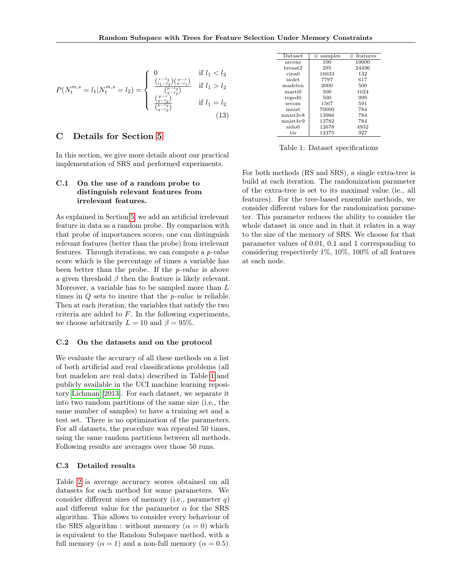$$
P(N_t^{m,s} = l_1 | N_t^{m,s} = l_2) = \begin{cases} 0 & \text{if } l_1 < l_2\\ \frac{\binom{r-l_2}{l_1-l_2} \binom{p-r}{q-l_1}}{\binom{p-l_2}{q-l_2}} & \text{if } l_1 > l_2\\ \frac{\binom{p}{r-l_2}}{\binom{p-l_2}{q-l_2}} & \text{if } l_1 = l_2 \end{cases}
$$
(13)

## C Details for Section [5](#page-0-2)

In this section, we give more details about our practical implementation of SRS and performed experiments.

## C.1 On the use of a random probe to distinguish relevant features from irrelevant features.

As explained in Section [5,](#page-0-2) we add an artificial irrelevant feature in data as a random probe. By comparison with that probe of importances scores, one can distinguish relevant features (better than the probe) from irrelevant features. Through iterations, we can compute a p-value score which is the percentage of times a variable has been better than the probe. If the p-value is above a given threshold  $\beta$  then the feature is likely relevant. Moreover, a variable has to be sampled more than L times in  $Q$  sets to insure that the *p*-value is reliable. Then at each iteration, the variables that satisfy the two criteria are added to F. In the following experiments, we choose arbitrarily  $L = 10$  and  $\beta = 95\%$ .

### C.2 On the datasets and on the protocol

We evaluate the accuracy of all these methods on a list of both artificial and real classifications problems (all but madelon are real data) described in Table [1](#page-3-0) and publicly available in the UCI machine learning repository [Lichman](#page-4-0) [\[2013\]](#page-4-0). For each dataset, we separate it into two random partitions of the same size (i.e., the same number of samples) to have a training set and a test set. There is no optimization of the parameters. For all datasets, the procedure was repeated 50 times, using the same random partitions between all methods. Following results are averages over those 50 runs.

#### C.3 Detailed results

Table [2](#page-4-1) is average accuracy scores obtained on all datasets for each method for some parameters. We consider different sizes of memory (i.e., parameter  $q$ ) and different value for the parameter  $\alpha$  for the SRS algorithm. This allows to consider every behaviour of the SRS algorithm : without memory  $(\alpha = 0)$  which is equivalent to the Random Subspace method, with a full memory ( $\alpha = 1$ ) and a non-full memory ( $\alpha = 0.5$ ).

<span id="page-3-0"></span>

| Dataset<br>samples<br>100<br>10000<br>arcene<br>24496<br>295<br>$^{\rm break2}$<br>16033<br>132<br>cina0<br>7797<br>617<br>isolet<br>2000<br>500<br>madelon<br>1024<br>500<br>marti0<br>500<br>999<br>reged0<br>1567<br>591<br>secom<br>70000<br>784<br>mnist |  |          |
|---------------------------------------------------------------------------------------------------------------------------------------------------------------------------------------------------------------------------------------------------------------|--|----------|
|                                                                                                                                                                                                                                                               |  | features |
|                                                                                                                                                                                                                                                               |  |          |
|                                                                                                                                                                                                                                                               |  |          |
|                                                                                                                                                                                                                                                               |  |          |
|                                                                                                                                                                                                                                                               |  |          |
|                                                                                                                                                                                                                                                               |  |          |
|                                                                                                                                                                                                                                                               |  |          |
|                                                                                                                                                                                                                                                               |  |          |
|                                                                                                                                                                                                                                                               |  |          |
|                                                                                                                                                                                                                                                               |  |          |
| 13966<br>mnist3v8<br>784                                                                                                                                                                                                                                      |  |          |
| 13782<br>784<br>mnist4v9                                                                                                                                                                                                                                      |  |          |
| 12678<br>4932<br>sido0                                                                                                                                                                                                                                        |  |          |
| 927<br>13375<br>tis                                                                                                                                                                                                                                           |  |          |

Table 1: Dataset specifications

For both methods (RS and SRS), a single extra-tree is build at each iteration. The randomization parameter of the extra-tree is set to its maximal value (ie., all features). For the tree-based ensemble methods, we consider different values for the randomization parameter. This parameter reduces the ability to consider the whole dataset in once and in that it relates in a way to the size of the memory of SRS. We choose for that parameter values of 0.01, 0.1 and 1 corresponding to considering respectively 1%, 10%, 100% of all features at each node.